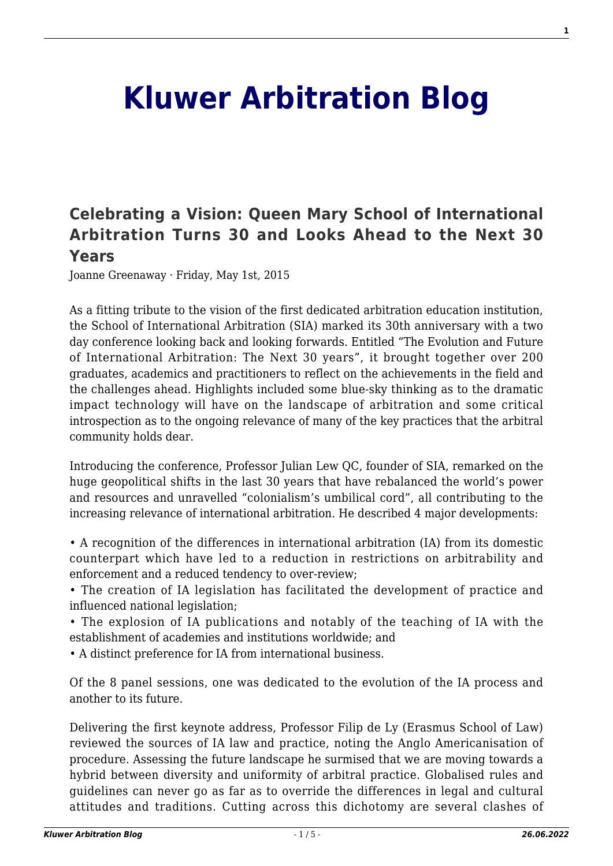## **[Kluwer Arbitration Blog](http://arbitrationblog.kluwerarbitration.com/)**

## **[Celebrating a Vision: Queen Mary School of International](http://arbitrationblog.kluwerarbitration.com/2015/05/01/celebrating-a-vision-queen-mary-school-of-international-arbitration-turns-30-and-looks-ahead-to-the-next-30-years/) [Arbitration Turns 30 and Looks Ahead to the Next 30](http://arbitrationblog.kluwerarbitration.com/2015/05/01/celebrating-a-vision-queen-mary-school-of-international-arbitration-turns-30-and-looks-ahead-to-the-next-30-years/) [Years](http://arbitrationblog.kluwerarbitration.com/2015/05/01/celebrating-a-vision-queen-mary-school-of-international-arbitration-turns-30-and-looks-ahead-to-the-next-30-years/)**

Joanne Greenaway · Friday, May 1st, 2015

As a fitting tribute to the vision of the first dedicated arbitration education institution, the School of International Arbitration (SIA) marked its 30th anniversary with a two day conference looking back and looking forwards. Entitled "The Evolution and Future of International Arbitration: The Next 30 years", it brought together over 200 graduates, academics and practitioners to reflect on the achievements in the field and the challenges ahead. Highlights included some blue-sky thinking as to the dramatic impact technology will have on the landscape of arbitration and some critical introspection as to the ongoing relevance of many of the key practices that the arbitral community holds dear.

Introducing the conference, Professor Julian Lew QC, founder of SIA, remarked on the huge geopolitical shifts in the last 30 years that have rebalanced the world's power and resources and unravelled "colonialism's umbilical cord", all contributing to the increasing relevance of international arbitration. He described 4 major developments:

• A recognition of the differences in international arbitration (IA) from its domestic counterpart which have led to a reduction in restrictions on arbitrability and enforcement and a reduced tendency to over-review;

• The creation of IA legislation has facilitated the development of practice and influenced national legislation;

• The explosion of IA publications and notably of the teaching of IA with the establishment of academies and institutions worldwide; and

• A distinct preference for IA from international business.

Of the 8 panel sessions, one was dedicated to the evolution of the IA process and another to its future.

Delivering the first keynote address, Professor Filip de Ly (Erasmus School of Law) reviewed the sources of IA law and practice, noting the Anglo Americanisation of procedure. Assessing the future landscape he surmised that we are moving towards a hybrid between diversity and uniformity of arbitral practice. Globalised rules and guidelines can never go as far as to override the differences in legal and cultural attitudes and traditions. Cutting across this dichotomy are several clashes of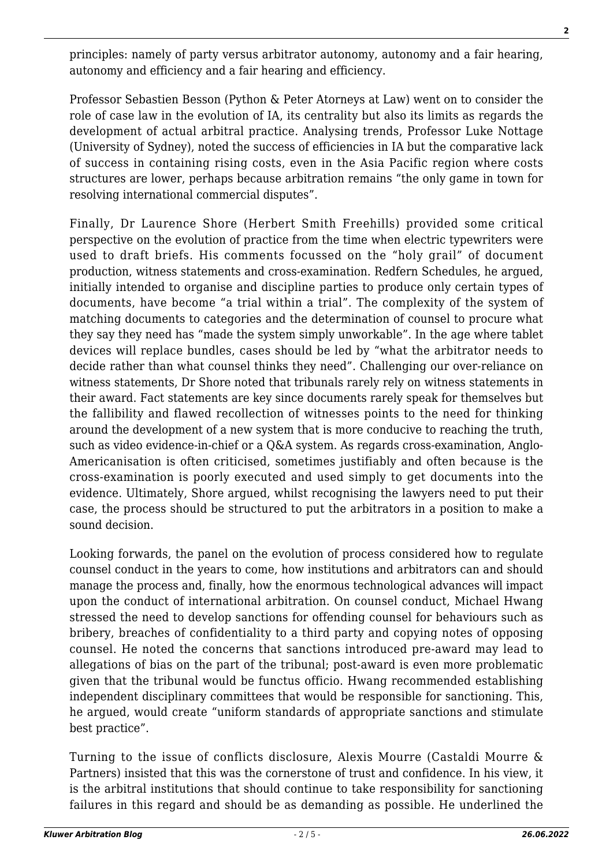principles: namely of party versus arbitrator autonomy, autonomy and a fair hearing, autonomy and efficiency and a fair hearing and efficiency.

Professor Sebastien Besson (Python & Peter Atorneys at Law) went on to consider the role of case law in the evolution of IA, its centrality but also its limits as regards the development of actual arbitral practice. Analysing trends, Professor Luke Nottage (University of Sydney), noted the success of efficiencies in IA but the comparative lack of success in containing rising costs, even in the Asia Pacific region where costs structures are lower, perhaps because arbitration remains "the only game in town for resolving international commercial disputes".

Finally, Dr Laurence Shore (Herbert Smith Freehills) provided some critical perspective on the evolution of practice from the time when electric typewriters were used to draft briefs. His comments focussed on the "holy grail" of document production, witness statements and cross-examination. Redfern Schedules, he argued, initially intended to organise and discipline parties to produce only certain types of documents, have become "a trial within a trial". The complexity of the system of matching documents to categories and the determination of counsel to procure what they say they need has "made the system simply unworkable". In the age where tablet devices will replace bundles, cases should be led by "what the arbitrator needs to decide rather than what counsel thinks they need". Challenging our over-reliance on witness statements, Dr Shore noted that tribunals rarely rely on witness statements in their award. Fact statements are key since documents rarely speak for themselves but the fallibility and flawed recollection of witnesses points to the need for thinking around the development of a new system that is more conducive to reaching the truth, such as video evidence-in-chief or a Q&A system. As regards cross-examination, Anglo-Americanisation is often criticised, sometimes justifiably and often because is the cross-examination is poorly executed and used simply to get documents into the evidence. Ultimately, Shore argued, whilst recognising the lawyers need to put their case, the process should be structured to put the arbitrators in a position to make a sound decision.

Looking forwards, the panel on the evolution of process considered how to regulate counsel conduct in the years to come, how institutions and arbitrators can and should manage the process and, finally, how the enormous technological advances will impact upon the conduct of international arbitration. On counsel conduct, Michael Hwang stressed the need to develop sanctions for offending counsel for behaviours such as bribery, breaches of confidentiality to a third party and copying notes of opposing counsel. He noted the concerns that sanctions introduced pre-award may lead to allegations of bias on the part of the tribunal; post-award is even more problematic given that the tribunal would be functus officio. Hwang recommended establishing independent disciplinary committees that would be responsible for sanctioning. This, he argued, would create "uniform standards of appropriate sanctions and stimulate best practice".

Turning to the issue of conflicts disclosure, Alexis Mourre (Castaldi Mourre & Partners) insisted that this was the cornerstone of trust and confidence. In his view, it is the arbitral institutions that should continue to take responsibility for sanctioning failures in this regard and should be as demanding as possible. He underlined the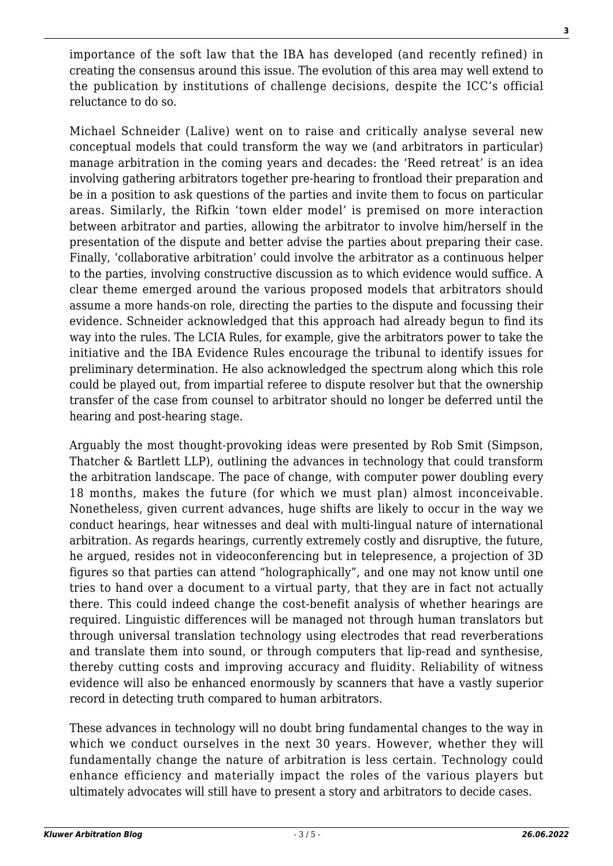importance of the soft law that the IBA has developed (and recently refined) in creating the consensus around this issue. The evolution of this area may well extend to the publication by institutions of challenge decisions, despite the ICC's official reluctance to do so.

Michael Schneider (Lalive) went on to raise and critically analyse several new conceptual models that could transform the way we (and arbitrators in particular) manage arbitration in the coming years and decades: the 'Reed retreat' is an idea involving gathering arbitrators together pre-hearing to frontload their preparation and be in a position to ask questions of the parties and invite them to focus on particular areas. Similarly, the Rifkin 'town elder model' is premised on more interaction between arbitrator and parties, allowing the arbitrator to involve him/herself in the presentation of the dispute and better advise the parties about preparing their case. Finally, 'collaborative arbitration' could involve the arbitrator as a continuous helper to the parties, involving constructive discussion as to which evidence would suffice. A clear theme emerged around the various proposed models that arbitrators should assume a more hands-on role, directing the parties to the dispute and focussing their evidence. Schneider acknowledged that this approach had already begun to find its way into the rules. The LCIA Rules, for example, give the arbitrators power to take the initiative and the IBA Evidence Rules encourage the tribunal to identify issues for preliminary determination. He also acknowledged the spectrum along which this role could be played out, from impartial referee to dispute resolver but that the ownership transfer of the case from counsel to arbitrator should no longer be deferred until the hearing and post-hearing stage.

Arguably the most thought-provoking ideas were presented by Rob Smit (Simpson, Thatcher & Bartlett LLP), outlining the advances in technology that could transform the arbitration landscape. The pace of change, with computer power doubling every 18 months, makes the future (for which we must plan) almost inconceivable. Nonetheless, given current advances, huge shifts are likely to occur in the way we conduct hearings, hear witnesses and deal with multi-lingual nature of international arbitration. As regards hearings, currently extremely costly and disruptive, the future, he argued, resides not in videoconferencing but in telepresence, a projection of 3D figures so that parties can attend "holographically", and one may not know until one tries to hand over a document to a virtual party, that they are in fact not actually there. This could indeed change the cost-benefit analysis of whether hearings are required. Linguistic differences will be managed not through human translators but through universal translation technology using electrodes that read reverberations and translate them into sound, or through computers that lip-read and synthesise, thereby cutting costs and improving accuracy and fluidity. Reliability of witness evidence will also be enhanced enormously by scanners that have a vastly superior record in detecting truth compared to human arbitrators.

These advances in technology will no doubt bring fundamental changes to the way in which we conduct ourselves in the next 30 years. However, whether they will fundamentally change the nature of arbitration is less certain. Technology could enhance efficiency and materially impact the roles of the various players but ultimately advocates will still have to present a story and arbitrators to decide cases.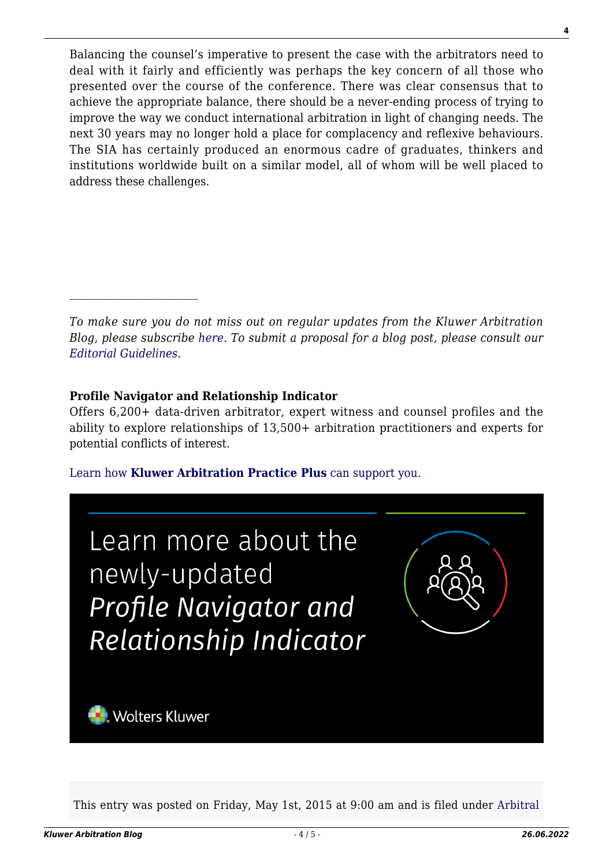Balancing the counsel's imperative to present the case with the arbitrators need to deal with it fairly and efficiently was perhaps the key concern of all those who presented over the course of the conference. There was clear consensus that to achieve the appropriate balance, there should be a never-ending process of trying to improve the way we conduct international arbitration in light of changing needs. The next 30 years may no longer hold a place for complacency and reflexive behaviours. The SIA has certainly produced an enormous cadre of graduates, thinkers and institutions worldwide built on a similar model, all of whom will be well placed to address these challenges.

*To make sure you do not miss out on regular updates from the Kluwer Arbitration Blog, please subscribe [here](http://arbitrationblog.kluwerarbitration.com/newsletter/). To submit a proposal for a blog post, please consult our [Editorial Guidelines.](http://arbitrationblog.kluwerarbitration.com/editorial-guidelines/)*

## **Profile Navigator and Relationship Indicator**

Offers 6,200+ data-driven arbitrator, expert witness and counsel profiles and the ability to explore relationships of 13,500+ arbitration practitioners and experts for potential conflicts of interest.

[Learn how](https://www.wolterskluwer.com/en/solutions/kluwerarbitration/practiceplus?utm_source=arbitrationblog&utm_medium=articleCTA&utm_campaign=article-banner) **[Kluwer Arbitration Practice Plus](https://www.wolterskluwer.com/en/solutions/kluwerarbitration/practiceplus?utm_source=arbitrationblog&utm_medium=articleCTA&utm_campaign=article-banner)** [can support you.](https://www.wolterskluwer.com/en/solutions/kluwerarbitration/practiceplus?utm_source=arbitrationblog&utm_medium=articleCTA&utm_campaign=article-banner)



This entry was posted on Friday, May 1st, 2015 at 9:00 am and is filed under [Arbitral](http://arbitrationblog.kluwerarbitration.com/category/arbitral-award/)